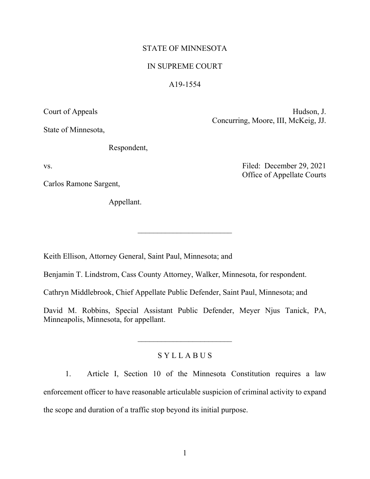## STATE OF MINNESOTA

### IN SUPREME COURT

### A19-1554

Court of Appeals Hudson, J.

State of Minnesota,

Respondent,

Carlos Ramone Sargent,

Appellant.

Concurring, Moore, III, McKeig, JJ.

vs. Filed: December 29, 2021 Office of Appellate Courts

Keith Ellison, Attorney General, Saint Paul, Minnesota; and

Benjamin T. Lindstrom, Cass County Attorney, Walker, Minnesota, for respondent.

Cathryn Middlebrook, Chief Appellate Public Defender, Saint Paul, Minnesota; and

David M. Robbins, Special Assistant Public Defender, Meyer Njus Tanick, PA, Minneapolis, Minnesota, for appellant.

# S Y L L A B U S

1. Article I, Section 10 of the Minnesota Constitution requires a law enforcement officer to have reasonable articulable suspicion of criminal activity to expand the scope and duration of a traffic stop beyond its initial purpose.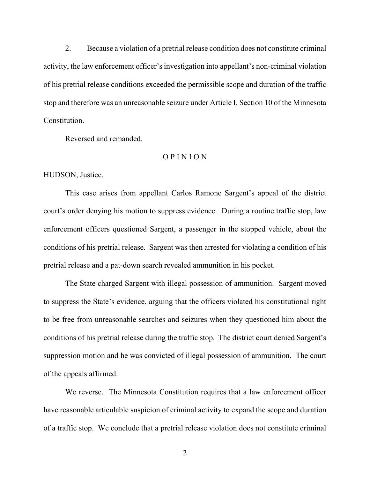2. Because a violation of a pretrial release condition does not constitute criminal activity, the law enforcement officer's investigation into appellant's non-criminal violation of his pretrial release conditions exceeded the permissible scope and duration of the traffic stop and therefore was an unreasonable seizure under Article I, Section 10 of the Minnesota Constitution.

Reversed and remanded.

# O P I N I O N

HUDSON, Justice.

 This case arises from appellant Carlos Ramone Sargent's appeal of the district court's order denying his motion to suppress evidence. During a routine traffic stop, law enforcement officers questioned Sargent, a passenger in the stopped vehicle, about the conditions of his pretrial release. Sargent was then arrested for violating a condition of his pretrial release and a pat-down search revealed ammunition in his pocket.

The State charged Sargent with illegal possession of ammunition. Sargent moved to suppress the State's evidence, arguing that the officers violated his constitutional right to be free from unreasonable searches and seizures when they questioned him about the conditions of his pretrial release during the traffic stop. The district court denied Sargent's suppression motion and he was convicted of illegal possession of ammunition. The court of the appeals affirmed.

 We reverse. The Minnesota Constitution requires that a law enforcement officer have reasonable articulable suspicion of criminal activity to expand the scope and duration of a traffic stop. We conclude that a pretrial release violation does not constitute criminal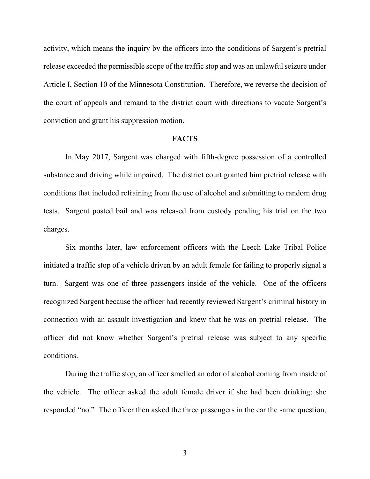activity, which means the inquiry by the officers into the conditions of Sargent's pretrial release exceeded the permissible scope of the traffic stop and was an unlawful seizure under Article I, Section 10 of the Minnesota Constitution. Therefore, we reverse the decision of the court of appeals and remand to the district court with directions to vacate Sargent's conviction and grant his suppression motion.

#### **FACTS**

 In May 2017, Sargent was charged with fifth-degree possession of a controlled substance and driving while impaired. The district court granted him pretrial release with conditions that included refraining from the use of alcohol and submitting to random drug tests. Sargent posted bail and was released from custody pending his trial on the two charges.

 Six months later, law enforcement officers with the Leech Lake Tribal Police initiated a traffic stop of a vehicle driven by an adult female for failing to properly signal a turn. Sargent was one of three passengers inside of the vehicle. One of the officers recognized Sargent because the officer had recently reviewed Sargent's criminal history in connection with an assault investigation and knew that he was on pretrial release. The officer did not know whether Sargent's pretrial release was subject to any specific conditions.

 During the traffic stop, an officer smelled an odor of alcohol coming from inside of the vehicle. The officer asked the adult female driver if she had been drinking; she responded "no." The officer then asked the three passengers in the car the same question,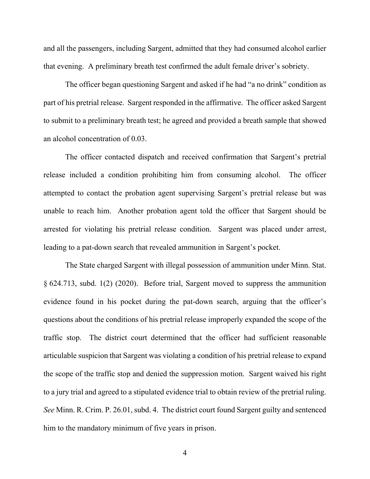and all the passengers, including Sargent, admitted that they had consumed alcohol earlier that evening. A preliminary breath test confirmed the adult female driver's sobriety.

The officer began questioning Sargent and asked if he had "a no drink" condition as part of his pretrial release. Sargent responded in the affirmative. The officer asked Sargent to submit to a preliminary breath test; he agreed and provided a breath sample that showed an alcohol concentration of 0.03.

 The officer contacted dispatch and received confirmation that Sargent's pretrial release included a condition prohibiting him from consuming alcohol. The officer attempted to contact the probation agent supervising Sargent's pretrial release but was unable to reach him. Another probation agent told the officer that Sargent should be arrested for violating his pretrial release condition. Sargent was placed under arrest, leading to a pat-down search that revealed ammunition in Sargent's pocket.

The State charged Sargent with illegal possession of ammunition under Minn. Stat. § 624.713, subd. 1(2) (2020). Before trial, Sargent moved to suppress the ammunition evidence found in his pocket during the pat-down search, arguing that the officer's questions about the conditions of his pretrial release improperly expanded the scope of the traffic stop. The district court determined that the officer had sufficient reasonable articulable suspicion that Sargent was violating a condition of his pretrial release to expand the scope of the traffic stop and denied the suppression motion. Sargent waived his right to a jury trial and agreed to a stipulated evidence trial to obtain review of the pretrial ruling. *See* Minn. R. Crim. P. 26.01, subd. 4. The district court found Sargent guilty and sentenced him to the mandatory minimum of five years in prison.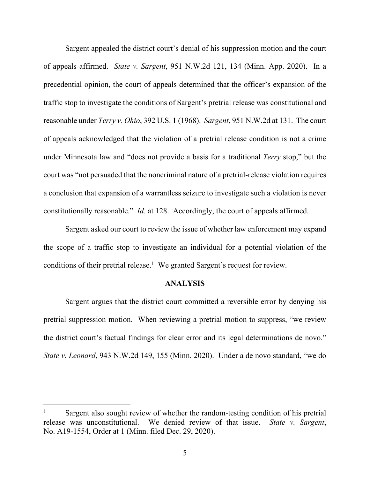Sargent appealed the district court's denial of his suppression motion and the court of appeals affirmed. *State v. Sargent*, 951 N.W.2d 121, 134 (Minn. App. 2020). In a precedential opinion, the court of appeals determined that the officer's expansion of the traffic stop to investigate the conditions of Sargent's pretrial release was constitutional and reasonable under *Terry v. Ohio*, 392 U.S. 1 (1968). *Sargent*, 951 N.W.2d at 131. The court of appeals acknowledged that the violation of a pretrial release condition is not a crime under Minnesota law and "does not provide a basis for a traditional *Terry* stop," but the court was "not persuaded that the noncriminal nature of a pretrial-release violation requires a conclusion that expansion of a warrantless seizure to investigate such a violation is never constitutionally reasonable." *Id.* at 128. Accordingly, the court of appeals affirmed.

Sargent asked our court to review the issue of whether law enforcement may expand the scope of a traffic stop to investigate an individual for a potential violation of the conditions of their pretrial release.<sup>1</sup> We granted Sargent's request for review.

### **ANALYSIS**

Sargent argues that the district court committed a reversible error by denying his pretrial suppression motion. When reviewing a pretrial motion to suppress, "we review the district court's factual findings for clear error and its legal determinations de novo." *State v. Leonard*, 943 N.W.2d 149, 155 (Minn. 2020). Under a de novo standard, "we do

<sup>1</sup> Sargent also sought review of whether the random-testing condition of his pretrial release was unconstitutional. We denied review of that issue. *State v. Sargent*, No. A19-1554, Order at 1 (Minn. filed Dec. 29, 2020).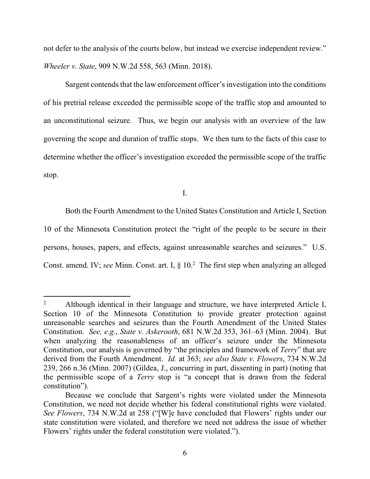not defer to the analysis of the courts below, but instead we exercise independent review." *Wheeler v. State*, 909 N.W.2d 558, 563 (Minn. 2018).

 Sargent contends that the law enforcement officer's investigation into the conditions of his pretrial release exceeded the permissible scope of the traffic stop and amounted to an unconstitutional seizure. Thus, we begin our analysis with an overview of the law governing the scope and duration of traffic stops. We then turn to the facts of this case to determine whether the officer's investigation exceeded the permissible scope of the traffic stop.

I.

Both the Fourth Amendment to the United States Constitution and Article I, Section

10 of the Minnesota Constitution protect the "right of the people to be secure in their

persons, houses, papers, and effects, against unreasonable searches and seizures." U.S.

Const. amend. IV; see Minn. Const. art. I, § 10.<sup>2</sup> The first step when analyzing an alleged

Although identical in their language and structure, we have interpreted Article I, Section 10 of the Minnesota Constitution to provide greater protection against unreasonable searches and seizures than the Fourth Amendment of the United States Constitution. *See, e.g.*, *State v. Askerooth*, 681 N.W.2d 353, 361–63 (Minn. 2004). But when analyzing the reasonableness of an officer's seizure under the Minnesota Constitution, our analysis is governed by "the principles and framework of *Terry*" that are derived from the Fourth Amendment. *Id.* at 363; *see also State v. Flowers*, 734 N.W.2d 239, 266 n.36 (Minn. 2007) (Gildea, J., concurring in part, dissenting in part) (noting that the permissible scope of a *Terry* stop is "a concept that is drawn from the federal constitution").

Because we conclude that Sargent's rights were violated under the Minnesota Constitution, we need not decide whether his federal constitutional rights were violated. *See Flowers*, 734 N.W.2d at 258 ("[W]e have concluded that Flowers' rights under our state constitution were violated, and therefore we need not address the issue of whether Flowers' rights under the federal constitution were violated.").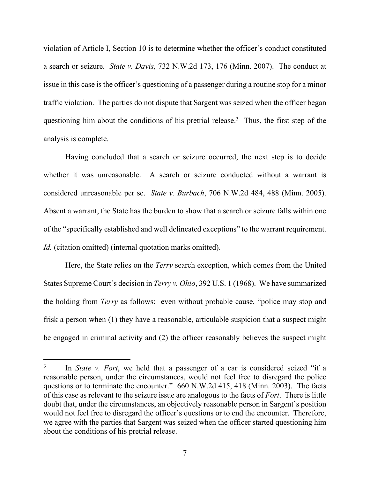violation of Article I, Section 10 is to determine whether the officer's conduct constituted a search or seizure. *State v. Davis*, 732 N.W.2d 173, 176 (Minn. 2007). The conduct at issue in this case is the officer's questioning of a passenger during a routine stop for a minor traffic violation. The parties do not dispute that Sargent was seized when the officer began questioning him about the conditions of his pretrial release.<sup>3</sup> Thus, the first step of the analysis is complete.

Having concluded that a search or seizure occurred, the next step is to decide whether it was unreasonable. A search or seizure conducted without a warrant is considered unreasonable per se. *State v. Burbach*, 706 N.W.2d 484, 488 (Minn. 2005). Absent a warrant, the State has the burden to show that a search or seizure falls within one of the "specifically established and well delineated exceptions" to the warrant requirement. *Id.* (citation omitted) (internal quotation marks omitted).

Here, the State relies on the *Terry* search exception, which comes from the United States Supreme Court's decision in *Terry v. Ohio*, 392 U.S. 1 (1968). We have summarized the holding from *Terry* as follows: even without probable cause, "police may stop and frisk a person when (1) they have a reasonable, articulable suspicion that a suspect might be engaged in criminal activity and (2) the officer reasonably believes the suspect might

<sup>3</sup> In *State v. Fort*, we held that a passenger of a car is considered seized "if a reasonable person, under the circumstances, would not feel free to disregard the police questions or to terminate the encounter." 660 N.W.2d 415, 418 (Minn. 2003). The facts of this case as relevant to the seizure issue are analogous to the facts of *Fort*. There is little doubt that, under the circumstances, an objectively reasonable person in Sargent's position would not feel free to disregard the officer's questions or to end the encounter. Therefore, we agree with the parties that Sargent was seized when the officer started questioning him about the conditions of his pretrial release.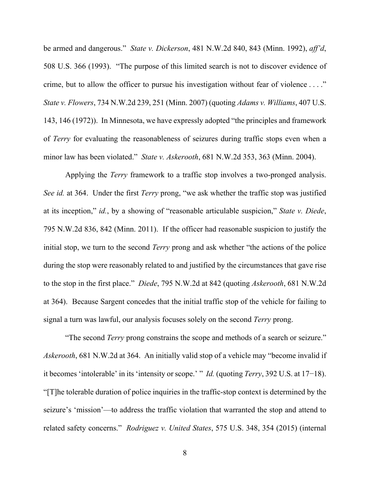be armed and dangerous." *State v. Dickerson*, 481 N.W.2d 840, 843 (Minn. 1992), *aff'd*, 508 U.S. 366 (1993). "The purpose of this limited search is not to discover evidence of crime, but to allow the officer to pursue his investigation without fear of violence . . . ." *State v. Flowers*, 734 N.W.2d 239, 251 (Minn. 2007) (quoting *Adams v. Williams*, 407 U.S. 143, 146 (1972)). In Minnesota, we have expressly adopted "the principles and framework of *Terry* for evaluating the reasonableness of seizures during traffic stops even when a minor law has been violated." *State v. Askerooth*, 681 N.W.2d 353, 363 (Minn. 2004).

Applying the *Terry* framework to a traffic stop involves a two-pronged analysis. *See id.* at 364. Under the first *Terry* prong, "we ask whether the traffic stop was justified at its inception," *id.*, by a showing of "reasonable articulable suspicion," *State v. Diede*, 795 N.W.2d 836, 842 (Minn. 2011). If the officer had reasonable suspicion to justify the initial stop, we turn to the second *Terry* prong and ask whether "the actions of the police during the stop were reasonably related to and justified by the circumstances that gave rise to the stop in the first place." *Diede*, 795 N.W.2d at 842 (quoting *Askerooth*, 681 N.W.2d at 364). Because Sargent concedes that the initial traffic stop of the vehicle for failing to signal a turn was lawful, our analysis focuses solely on the second *Terry* prong.

"The second *Terry* prong constrains the scope and methods of a search or seizure." *Askerooth*, 681 N.W.2d at 364. An initially valid stop of a vehicle may "become invalid if it becomes 'intolerable' in its 'intensity or scope.' " *Id.* (quoting *Terry*, 392 U.S. at 17−18). "[T]he tolerable duration of police inquiries in the traffic-stop context is determined by the seizure's 'mission'—to address the traffic violation that warranted the stop and attend to related safety concerns." *Rodriguez v. United States*, 575 U.S. 348, 354 (2015) (internal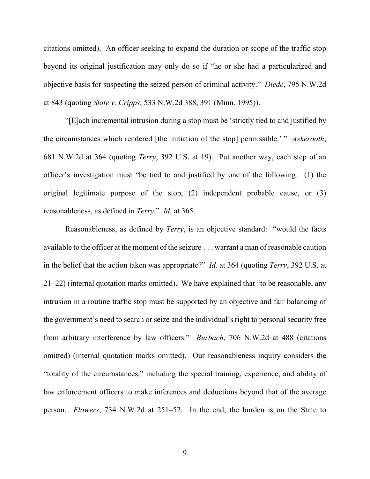citations omitted). An officer seeking to expand the duration or scope of the traffic stop beyond its original justification may only do so if "he or she had a particularized and objective basis for suspecting the seized person of criminal activity." *Diede*, 795 N.W.2d at 843 (quoting *State v. Cripps*, 533 N.W.2d 388, 391 (Minn. 1995)).

"[E]ach incremental intrusion during a stop must be 'strictly tied to and justified by the circumstances which rendered [the initiation of the stop] permissible.' " *Askerooth*, 681 N.W.2d at 364 (quoting *Terry*, 392 U.S. at 19). Put another way, each step of an officer's investigation must "be tied to and justified by one of the following: (1) the original legitimate purpose of the stop, (2) independent probable cause, or (3) reasonableness, as defined in *Terry.*" *Id.* at 365.

Reasonableness, as defined by *Terry*, is an objective standard: "would the facts available to the officer at the moment of the seizure . . . warrant a man of reasonable caution in the belief that the action taken was appropriate?" *Id.* at 364 (quoting *Terry*, 392 U.S. at 21–22) (internal quotation marks omitted). We have explained that "to be reasonable, any intrusion in a routine traffic stop must be supported by an objective and fair balancing of the government's need to search or seize and the individual's right to personal security free from arbitrary interference by law officers." *Burbach*, 706 N.W.2d at 488 (citations omitted) (internal quotation marks omitted). Our reasonableness inquiry considers the "totality of the circumstances," including the special training, experience, and ability of law enforcement officers to make inferences and deductions beyond that of the average person. *Flowers*, 734 N.W.2d at 251–52. In the end, the burden is on the State to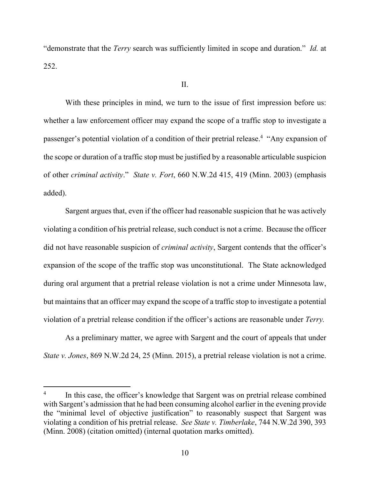"demonstrate that the *Terry* search was sufficiently limited in scope and duration." *Id.* at 252.

With these principles in mind, we turn to the issue of first impression before us: whether a law enforcement officer may expand the scope of a traffic stop to investigate a passenger's potential violation of a condition of their pretrial release.<sup>4</sup> "Any expansion of the scope or duration of a traffic stop must be justified by a reasonable articulable suspicion of other *criminal activity*." *State v. Fort*, 660 N.W.2d 415, 419 (Minn. 2003) (emphasis added).

 Sargent argues that, even if the officer had reasonable suspicion that he was actively violating a condition of his pretrial release, such conduct is not a crime. Because the officer did not have reasonable suspicion of *criminal activity*, Sargent contends that the officer's expansion of the scope of the traffic stop was unconstitutional. The State acknowledged during oral argument that a pretrial release violation is not a crime under Minnesota law, but maintains that an officer may expand the scope of a traffic stop to investigate a potential violation of a pretrial release condition if the officer's actions are reasonable under *Terry.* 

As a preliminary matter, we agree with Sargent and the court of appeals that under *State v. Jones*, 869 N.W.2d 24, 25 (Minn. 2015), a pretrial release violation is not a crime.

<sup>4</sup> In this case, the officer's knowledge that Sargent was on pretrial release combined with Sargent's admission that he had been consuming alcohol earlier in the evening provide the "minimal level of objective justification" to reasonably suspect that Sargent was violating a condition of his pretrial release. *See State v. Timberlake*, 744 N.W.2d 390, 393 (Minn. 2008) (citation omitted) (internal quotation marks omitted).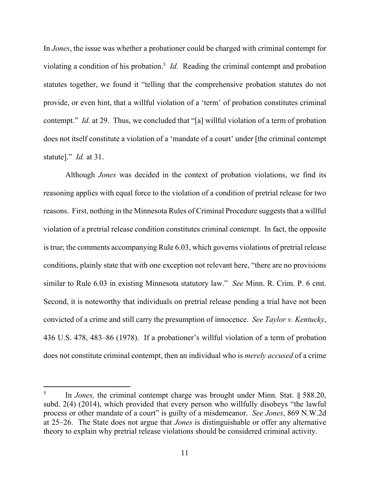In *Jones*, the issue was whether a probationer could be charged with criminal contempt for violating a condition of his probation.<sup>5</sup> *Id*. Reading the criminal contempt and probation statutes together, we found it "telling that the comprehensive probation statutes do not provide, or even hint, that a willful violation of a 'term' of probation constitutes criminal contempt." *Id.* at 29. Thus, we concluded that "[a] willful violation of a term of probation does not itself constitute a violation of a 'mandate of a court' under [the criminal contempt statute]." *Id.* at 31.

Although *Jones* was decided in the context of probation violations, we find its reasoning applies with equal force to the violation of a condition of pretrial release for two reasons. First, nothing in the Minnesota Rules of Criminal Procedure suggests that a willful violation of a pretrial release condition constitutes criminal contempt. In fact, the opposite is true; the comments accompanying Rule 6.03, which governs violations of pretrial release conditions, plainly state that with one exception not relevant here, "there are no provisions similar to Rule 6.03 in existing Minnesota statutory law." *See* Minn. R. Crim. P. 6 cmt. Second, it is noteworthy that individuals on pretrial release pending a trial have not been convicted of a crime and still carry the presumption of innocence. *See Taylor v. Kentucky*, 436 U.S. 478, 483–86 (1978). If a probationer's willful violation of a term of probation does not constitute criminal contempt, then an individual who is *merely accused* of a crime

<sup>5</sup> In *Jones,* the criminal contempt charge was brought under Minn. Stat. § 588.20, subd. 2(4) (2014), which provided that every person who willfully disobeys "the lawful process or other mandate of a court" is guilty of a misdemeanor. *See Jones*, 869 N.W.2d at 25–26. The State does not argue that *Jones* is distinguishable or offer any alternative theory to explain why pretrial release violations should be considered criminal activity.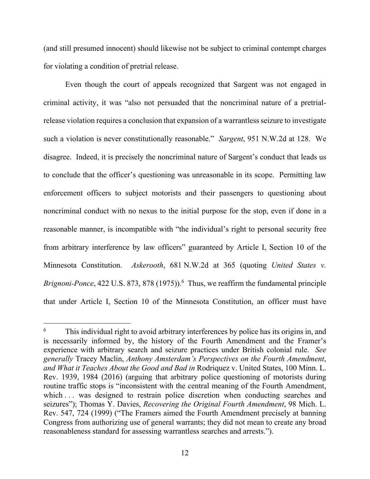(and still presumed innocent) should likewise not be subject to criminal contempt charges for violating a condition of pretrial release.

Even though the court of appeals recognized that Sargent was not engaged in criminal activity, it was "also not persuaded that the noncriminal nature of a pretrialrelease violation requires a conclusion that expansion of a warrantless seizure to investigate such a violation is never constitutionally reasonable." *Sargent*, 951 N.W.2d at 128. We disagree. Indeed, it is precisely the noncriminal nature of Sargent's conduct that leads us to conclude that the officer's questioning was unreasonable in its scope. Permitting law enforcement officers to subject motorists and their passengers to questioning about noncriminal conduct with no nexus to the initial purpose for the stop, even if done in a reasonable manner, is incompatible with "the individual's right to personal security free from arbitrary interference by law officers" guaranteed by Article I, Section 10 of the Minnesota Constitution. *Askerooth*, 681 N.W.2d at 365 (quoting *United States v.*  Brignoni-Ponce, 422 U.S. 873, 878 (1975)).<sup>6</sup> Thus, we reaffirm the fundamental principle that under Article I, Section 10 of the Minnesota Constitution, an officer must have

<sup>6</sup> This individual right to avoid arbitrary interferences by police has its origins in, and is necessarily informed by, the history of the Fourth Amendment and the Framer's experience with arbitrary search and seizure practices under British colonial rule. *See generally* Tracey Maclin, *Anthony Amsterdam's Perspectives on the Fourth Amendment*, *and What it Teaches About the Good and Bad in* Rodriquez v. United States, 100 Minn. L. Rev. 1939, 1984 (2016) (arguing that arbitrary police questioning of motorists during routine traffic stops is "inconsistent with the central meaning of the Fourth Amendment, which ... was designed to restrain police discretion when conducting searches and seizures"); Thomas Y. Davies, *Recovering the Original Fourth Amendment*, 98 Mich. L. Rev. 547, 724 (1999) ("The Framers aimed the Fourth Amendment precisely at banning Congress from authorizing use of general warrants; they did not mean to create any broad reasonableness standard for assessing warrantless searches and arrests.").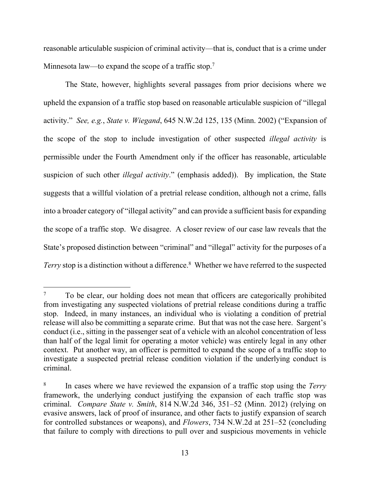reasonable articulable suspicion of criminal activity—that is, conduct that is a crime under Minnesota law—to expand the scope of a traffic stop.<sup>7</sup>

The State, however, highlights several passages from prior decisions where we upheld the expansion of a traffic stop based on reasonable articulable suspicion of "illegal activity." *See, e.g.*, *State v. Wiegand*, 645 N.W.2d 125, 135 (Minn. 2002) ("Expansion of the scope of the stop to include investigation of other suspected *illegal activity* is permissible under the Fourth Amendment only if the officer has reasonable, articulable suspicion of such other *illegal activity*." (emphasis added)). By implication, the State suggests that a willful violation of a pretrial release condition, although not a crime, falls into a broader category of "illegal activity" and can provide a sufficient basis for expanding the scope of a traffic stop. We disagree. A closer review of our case law reveals that the State's proposed distinction between "criminal" and "illegal" activity for the purposes of a Terry stop is a distinction without a difference.<sup>8</sup> Whether we have referred to the suspected

<sup>7</sup> To be clear, our holding does not mean that officers are categorically prohibited from investigating any suspected violations of pretrial release conditions during a traffic stop. Indeed, in many instances, an individual who is violating a condition of pretrial release will also be committing a separate crime. But that was not the case here. Sargent's conduct (i.e., sitting in the passenger seat of a vehicle with an alcohol concentration of less than half of the legal limit for operating a motor vehicle) was entirely legal in any other context. Put another way, an officer is permitted to expand the scope of a traffic stop to investigate a suspected pretrial release condition violation if the underlying conduct is criminal.

<sup>8</sup> In cases where we have reviewed the expansion of a traffic stop using the *Terry*  framework, the underlying conduct justifying the expansion of each traffic stop was criminal. *Compare State v. Smith*, 814 N.W.2d 346, 351–52 (Minn. 2012) (relying on evasive answers, lack of proof of insurance, and other facts to justify expansion of search for controlled substances or weapons), and *Flowers*, 734 N.W.2d at 251–52 (concluding that failure to comply with directions to pull over and suspicious movements in vehicle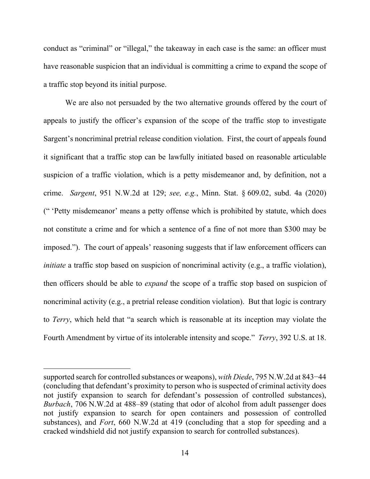conduct as "criminal" or "illegal," the takeaway in each case is the same: an officer must have reasonable suspicion that an individual is committing a crime to expand the scope of a traffic stop beyond its initial purpose.

We are also not persuaded by the two alternative grounds offered by the court of appeals to justify the officer's expansion of the scope of the traffic stop to investigate Sargent's noncriminal pretrial release condition violation. First, the court of appeals found it significant that a traffic stop can be lawfully initiated based on reasonable articulable suspicion of a traffic violation, which is a petty misdemeanor and, by definition, not a crime. *Sargent*, 951 N.W.2d at 129; *see, e.g.*, Minn. Stat. § 609.02, subd. 4a (2020) (" 'Petty misdemeanor' means a petty offense which is prohibited by statute, which does not constitute a crime and for which a sentence of a fine of not more than \$300 may be imposed."). The court of appeals' reasoning suggests that if law enforcement officers can *initiate* a traffic stop based on suspicion of noncriminal activity (e.g., a traffic violation), then officers should be able to *expand* the scope of a traffic stop based on suspicion of noncriminal activity (e.g., a pretrial release condition violation). But that logic is contrary to *Terry*, which held that "a search which is reasonable at its inception may violate the Fourth Amendment by virtue of its intolerable intensity and scope." *Terry*, 392 U.S. at 18.

supported search for controlled substances or weapons), *with Diede*, 795 N.W.2d at 843−44 (concluding that defendant's proximity to person who is suspected of criminal activity does not justify expansion to search for defendant's possession of controlled substances), *Burbach*, 706 N.W.2d at 488–89 (stating that odor of alcohol from adult passenger does not justify expansion to search for open containers and possession of controlled substances), and *Fort*, 660 N.W.2d at 419 (concluding that a stop for speeding and a cracked windshield did not justify expansion to search for controlled substances).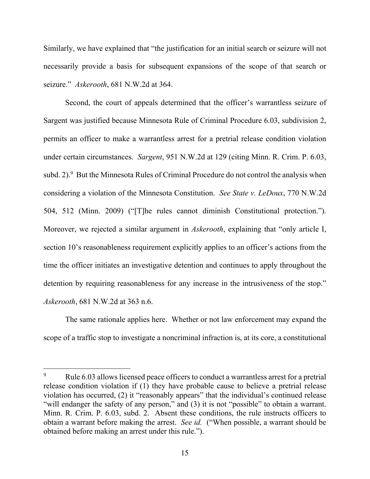Similarly, we have explained that "the justification for an initial search or seizure will not necessarily provide a basis for subsequent expansions of the scope of that search or seizure." *Askerooth*, 681 N.W.2d at 364.

Second, the court of appeals determined that the officer's warrantless seizure of Sargent was justified because Minnesota Rule of Criminal Procedure 6.03, subdivision 2, permits an officer to make a warrantless arrest for a pretrial release condition violation under certain circumstances. *Sargent*, 951 N.W.2d at 129 (citing Minn. R. Crim. P. 6.03, subd. 2). <sup>9</sup> But the Minnesota Rules of Criminal Procedure do not control the analysis when considering a violation of the Minnesota Constitution. *See State v. LeDoux*, 770 N.W.2d 504, 512 (Minn. 2009) ("[T]he rules cannot diminish Constitutional protection."). Moreover, we rejected a similar argument in *Askerooth*, explaining that "only article I, section 10's reasonableness requirement explicitly applies to an officer's actions from the time the officer initiates an investigative detention and continues to apply throughout the detention by requiring reasonableness for any increase in the intrusiveness of the stop." *Askerooth*, 681 N.W.2d at 363 n.6.

The same rationale applies here. Whether or not law enforcement may expand the scope of a traffic stop to investigate a noncriminal infraction is, at its core, a constitutional

<sup>9</sup> Rule 6.03 allows licensed peace officers to conduct a warrantless arrest for a pretrial release condition violation if (1) they have probable cause to believe a pretrial release violation has occurred, (2) it "reasonably appears" that the individual's continued release "will endanger the safety of any person," and (3) it is not "possible" to obtain a warrant. Minn. R. Crim. P. 6.03, subd. 2. Absent these conditions, the rule instructs officers to obtain a warrant before making the arrest. *See id.* ("When possible, a warrant should be obtained before making an arrest under this rule.").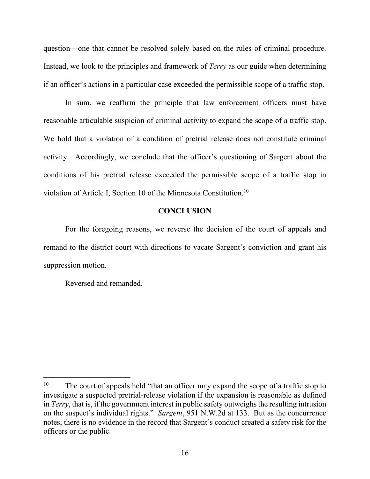question—one that cannot be resolved solely based on the rules of criminal procedure. Instead, we look to the principles and framework of *Terry* as our guide when determining if an officer's actions in a particular case exceeded the permissible scope of a traffic stop.

In sum, we reaffirm the principle that law enforcement officers must have reasonable articulable suspicion of criminal activity to expand the scope of a traffic stop. We hold that a violation of a condition of pretrial release does not constitute criminal activity. Accordingly, we conclude that the officer's questioning of Sargent about the conditions of his pretrial release exceeded the permissible scope of a traffic stop in violation of Article I, Section 10 of the Minnesota Constitution.<sup>10</sup>

## **CONCLUSION**

For the foregoing reasons, we reverse the decision of the court of appeals and remand to the district court with directions to vacate Sargent's conviction and grant his suppression motion.

Reversed and remanded.

<sup>&</sup>lt;sup>10</sup> The court of appeals held "that an officer may expand the scope of a traffic stop to investigate a suspected pretrial-release violation if the expansion is reasonable as defined in *Terry*, that is, if the government interest in public safety outweighs the resulting intrusion on the suspect's individual rights." *Sargent*, 951 N.W.2d at 133. But as the concurrence notes, there is no evidence in the record that Sargent's conduct created a safety risk for the officers or the public.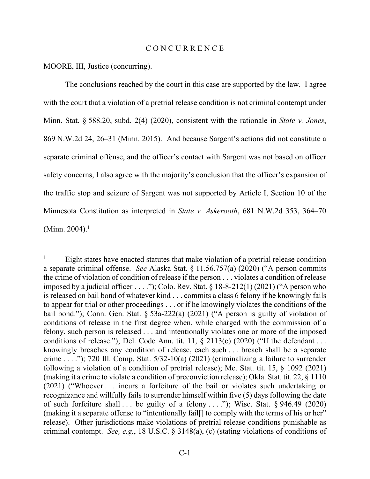#### C O N C U R R E N C E

MOORE, III, Justice (concurring).

The conclusions reached by the court in this case are supported by the law. I agree with the court that a violation of a pretrial release condition is not criminal contempt under Minn. Stat. § 588.20, subd. 2(4) (2020), consistent with the rationale in *State v. Jones*, 869 N.W.2d 24, 26–31 (Minn. 2015). And because Sargent's actions did not constitute a separate criminal offense, and the officer's contact with Sargent was not based on officer safety concerns, I also agree with the majority's conclusion that the officer's expansion of the traffic stop and seizure of Sargent was not supported by Article I, Section 10 of the Minnesota Constitution as interpreted in *State v. Askerooth*, 681 N.W.2d 353, 364–70 (Minn. 2004). $1$ 

<sup>1</sup> Eight states have enacted statutes that make violation of a pretrial release condition a separate criminal offense. *See* Alaska Stat. § 11.56.757(a) (2020) ("A person commits the crime of violation of condition of release if the person . . . violates a condition of release imposed by a judicial officer  $\dots$ ."); Colo. Rev. Stat. § 18-8-212(1) (2021) ("A person who is released on bail bond of whatever kind . . . commits a class 6 felony if he knowingly fails to appear for trial or other proceedings . . . or if he knowingly violates the conditions of the bail bond."); Conn. Gen. Stat. § 53a-222(a) (2021) ("A person is guilty of violation of conditions of release in the first degree when, while charged with the commission of a felony, such person is released . . . and intentionally violates one or more of the imposed conditions of release."); Del. Code Ann. tit.  $11, \S$  2113(c) (2020) ("If the defendant ... knowingly breaches any condition of release, each such . . . breach shall be a separate crime . . . ."); 720 Ill. Comp. Stat.  $5/32-10(a)$  (2021) (criminalizing a failure to surrender following a violation of a condition of pretrial release); Me. Stat. tit. 15, § 1092 (2021) (making it a crime to violate a condition of preconviction release); Okla. Stat. tit. 22, § 1110 (2021) ("Whoever . . . incurs a forfeiture of the bail or violates such undertaking or recognizance and willfully fails to surrender himself within five (5) days following the date of such forfeiture shall  $\ldots$  be guilty of a felony  $\ldots$ ."); Wisc. Stat. § 946.49 (2020) (making it a separate offense to "intentionally fail[] to comply with the terms of his or her" release). Other jurisdictions make violations of pretrial release conditions punishable as criminal contempt. *See, e.g.*, 18 U.S.C. § 3148(a), (c) (stating violations of conditions of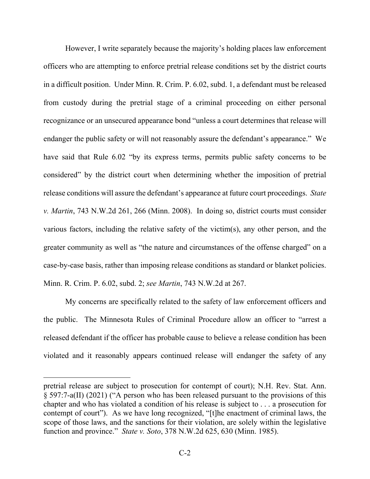However, I write separately because the majority's holding places law enforcement officers who are attempting to enforce pretrial release conditions set by the district courts in a difficult position. Under Minn. R. Crim. P. 6.02, subd. 1, a defendant must be released from custody during the pretrial stage of a criminal proceeding on either personal recognizance or an unsecured appearance bond "unless a court determines that release will endanger the public safety or will not reasonably assure the defendant's appearance." We have said that Rule 6.02 "by its express terms, permits public safety concerns to be considered" by the district court when determining whether the imposition of pretrial release conditions will assure the defendant's appearance at future court proceedings. *State v. Martin*, 743 N.W.2d 261, 266 (Minn. 2008). In doing so, district courts must consider various factors, including the relative safety of the victim(s), any other person, and the greater community as well as "the nature and circumstances of the offense charged" on a case-by-case basis, rather than imposing release conditions as standard or blanket policies. Minn. R. Crim. P. 6.02, subd. 2; *see Martin*, 743 N.W.2d at 267.

My concerns are specifically related to the safety of law enforcement officers and the public. The Minnesota Rules of Criminal Procedure allow an officer to "arrest a released defendant if the officer has probable cause to believe a release condition has been violated and it reasonably appears continued release will endanger the safety of any

pretrial release are subject to prosecution for contempt of court); N.H. Rev. Stat. Ann. § 597:7-a(II) (2021) ("A person who has been released pursuant to the provisions of this chapter and who has violated a condition of his release is subject to . . . a prosecution for contempt of court"). As we have long recognized, "[t]he enactment of criminal laws, the scope of those laws, and the sanctions for their violation, are solely within the legislative function and province." *State v. Soto*, 378 N.W.2d 625, 630 (Minn. 1985).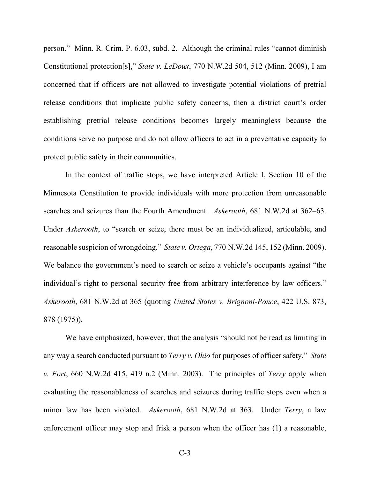person." Minn. R. Crim. P. 6.03, subd. 2. Although the criminal rules "cannot diminish Constitutional protection[s]," *State v. LeDoux*, 770 N.W.2d 504, 512 (Minn. 2009), I am concerned that if officers are not allowed to investigate potential violations of pretrial release conditions that implicate public safety concerns, then a district court's order establishing pretrial release conditions becomes largely meaningless because the conditions serve no purpose and do not allow officers to act in a preventative capacity to protect public safety in their communities.

In the context of traffic stops, we have interpreted Article I, Section 10 of the Minnesota Constitution to provide individuals with more protection from unreasonable searches and seizures than the Fourth Amendment. *Askerooth*, 681 N.W.2d at 362–63. Under *Askerooth*, to "search or seize, there must be an individualized, articulable, and reasonable suspicion of wrongdoing." *State v. Ortega*, 770 N.W.2d 145, 152 (Minn. 2009). We balance the government's need to search or seize a vehicle's occupants against "the individual's right to personal security free from arbitrary interference by law officers." *Askerooth*, 681 N.W.2d at 365 (quoting *United States v. Brignoni-Ponce*, 422 U.S. 873, 878 (1975)).

We have emphasized, however, that the analysis "should not be read as limiting in any way a search conducted pursuant to *Terry v. Ohio* for purposes of officer safety." *State v. Fort*, 660 N.W.2d 415, 419 n.2 (Minn. 2003). The principles of *Terry* apply when evaluating the reasonableness of searches and seizures during traffic stops even when a minor law has been violated. *Askerooth*, 681 N.W.2d at 363. Under *Terry*, a law enforcement officer may stop and frisk a person when the officer has (1) a reasonable,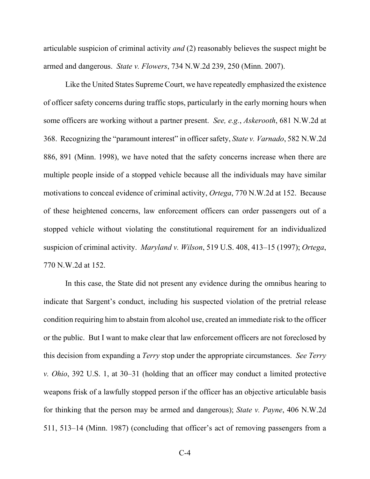articulable suspicion of criminal activity *and* (2) reasonably believes the suspect might be armed and dangerous. *State v. Flowers*, 734 N.W.2d 239, 250 (Minn. 2007).

Like the United States Supreme Court, we have repeatedly emphasized the existence of officer safety concerns during traffic stops, particularly in the early morning hours when some officers are working without a partner present. *See, e.g.*, *Askerooth*, 681 N.W.2d at 368. Recognizing the "paramount interest" in officer safety, *State v. Varnado*, 582 N.W.2d 886, 891 (Minn. 1998), we have noted that the safety concerns increase when there are multiple people inside of a stopped vehicle because all the individuals may have similar motivations to conceal evidence of criminal activity, *Ortega*, 770 N.W.2d at 152.Because of these heightened concerns, law enforcement officers can order passengers out of a stopped vehicle without violating the constitutional requirement for an individualized suspicion of criminal activity. *Maryland v. Wilson*, 519 U.S. 408, 413–15 (1997); *Ortega*, 770 N.W.2d at 152.

In this case, the State did not present any evidence during the omnibus hearing to indicate that Sargent's conduct, including his suspected violation of the pretrial release condition requiring him to abstain from alcohol use, created an immediate risk to the officer or the public. But I want to make clear that law enforcement officers are not foreclosed by this decision from expanding a *Terry* stop under the appropriate circumstances. *See Terry v. Ohio*, 392 U.S. 1, at 30–31 (holding that an officer may conduct a limited protective weapons frisk of a lawfully stopped person if the officer has an objective articulable basis for thinking that the person may be armed and dangerous); *State v. Payne*, 406 N.W.2d 511, 513–14 (Minn. 1987) (concluding that officer's act of removing passengers from a